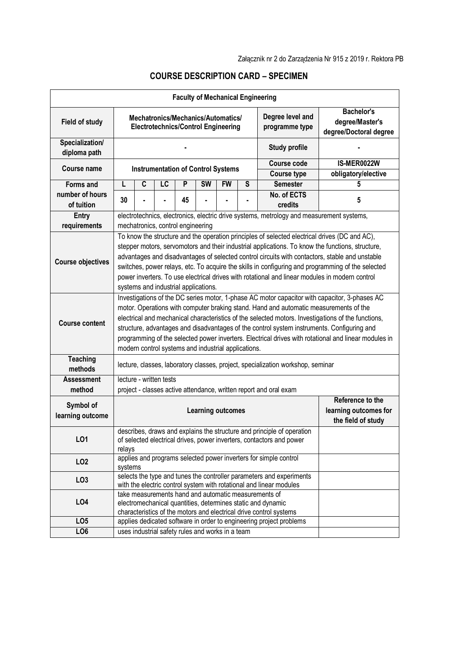|                                     |                                                                                                                                                                                                                                                                                                                                                                                                                                                                                                                                                           |             |                         |    | <b>Faculty of Mechanical Engineering</b>         |                                                                |                                          |                                                                                                                                                                                                 |                                                                                                                                                                                                                                                                                                         |
|-------------------------------------|-----------------------------------------------------------------------------------------------------------------------------------------------------------------------------------------------------------------------------------------------------------------------------------------------------------------------------------------------------------------------------------------------------------------------------------------------------------------------------------------------------------------------------------------------------------|-------------|-------------------------|----|--------------------------------------------------|----------------------------------------------------------------|------------------------------------------|-------------------------------------------------------------------------------------------------------------------------------------------------------------------------------------------------|---------------------------------------------------------------------------------------------------------------------------------------------------------------------------------------------------------------------------------------------------------------------------------------------------------|
| <b>Field of study</b>               | Degree level and<br>Mechatronics/Mechanics/Automatics/<br><b>Electrotechnics/Control Engineering</b><br>programme type                                                                                                                                                                                                                                                                                                                                                                                                                                    |             |                         |    |                                                  | <b>Bachelor's</b><br>degree/Master's<br>degree/Doctoral degree |                                          |                                                                                                                                                                                                 |                                                                                                                                                                                                                                                                                                         |
| Specialization/<br>diploma path     |                                                                                                                                                                                                                                                                                                                                                                                                                                                                                                                                                           |             |                         |    |                                                  |                                                                |                                          | <b>Study profile</b>                                                                                                                                                                            |                                                                                                                                                                                                                                                                                                         |
| Course name                         | <b>Instrumentation of Control Systems</b>                                                                                                                                                                                                                                                                                                                                                                                                                                                                                                                 |             |                         |    |                                                  |                                                                | <b>Course code</b><br><b>Course type</b> | IS-MER0022W<br>obligatory/elective                                                                                                                                                              |                                                                                                                                                                                                                                                                                                         |
|                                     | L                                                                                                                                                                                                                                                                                                                                                                                                                                                                                                                                                         | $\mathbf c$ | LC                      | P  | <b>SW</b>                                        | <b>FW</b>                                                      |                                          | <b>Semester</b>                                                                                                                                                                                 | 5                                                                                                                                                                                                                                                                                                       |
| <b>Forms and</b><br>number of hours |                                                                                                                                                                                                                                                                                                                                                                                                                                                                                                                                                           |             |                         |    |                                                  |                                                                | S                                        | No. of ECTS                                                                                                                                                                                     |                                                                                                                                                                                                                                                                                                         |
| of tuition                          | 30                                                                                                                                                                                                                                                                                                                                                                                                                                                                                                                                                        |             |                         | 45 |                                                  |                                                                |                                          | credits                                                                                                                                                                                         | 5                                                                                                                                                                                                                                                                                                       |
| Entry                               |                                                                                                                                                                                                                                                                                                                                                                                                                                                                                                                                                           |             |                         |    |                                                  |                                                                |                                          | electrotechnics, electronics, electric drive systems, metrology and measurement systems,                                                                                                        |                                                                                                                                                                                                                                                                                                         |
| requirements                        | mechatronics, control engineering                                                                                                                                                                                                                                                                                                                                                                                                                                                                                                                         |             |                         |    |                                                  |                                                                |                                          |                                                                                                                                                                                                 |                                                                                                                                                                                                                                                                                                         |
| <b>Course objectives</b>            |                                                                                                                                                                                                                                                                                                                                                                                                                                                                                                                                                           |             |                         |    | systems and industrial applications.             |                                                                |                                          | To know the structure and the operation principles of selected electrical drives (DC and AC),<br>power inverters. To use electrical drives with rotational and linear modules in modern control | stepper motors, servomotors and their industrial applications. To know the functions, structure,<br>advantages and disadvantages of selected control circuits with contactors, stable and unstable<br>switches, power relays, etc. To acquire the skills in configuring and programming of the selected |
| <b>Course content</b>               | Investigations of the DC series motor, 1-phase AC motor capacitor with capacitor, 3-phases AC<br>motor. Operations with computer braking stand. Hand and automatic measurements of the<br>electrical and mechanical characteristics of the selected motors. Investigations of the functions,<br>structure, advantages and disadvantages of the control system instruments. Configuring and<br>programming of the selected power inverters. Electrical drives with rotational and linear modules in<br>modern control systems and industrial applications. |             |                         |    |                                                  |                                                                |                                          |                                                                                                                                                                                                 |                                                                                                                                                                                                                                                                                                         |
| <b>Teaching</b><br>methods          | lecture, classes, laboratory classes, project, specialization workshop, seminar                                                                                                                                                                                                                                                                                                                                                                                                                                                                           |             |                         |    |                                                  |                                                                |                                          |                                                                                                                                                                                                 |                                                                                                                                                                                                                                                                                                         |
| <b>Assessment</b>                   |                                                                                                                                                                                                                                                                                                                                                                                                                                                                                                                                                           |             | lecture - written tests |    |                                                  |                                                                |                                          |                                                                                                                                                                                                 |                                                                                                                                                                                                                                                                                                         |
| method                              |                                                                                                                                                                                                                                                                                                                                                                                                                                                                                                                                                           |             |                         |    |                                                  |                                                                |                                          | project - classes active attendance, written report and oral exam                                                                                                                               |                                                                                                                                                                                                                                                                                                         |
| Symbol of<br>learning outcome       |                                                                                                                                                                                                                                                                                                                                                                                                                                                                                                                                                           |             |                         |    | <b>Learning outcomes</b>                         |                                                                |                                          |                                                                                                                                                                                                 | Reference to the<br>learning outcomes for<br>the field of study                                                                                                                                                                                                                                         |
| L <sub>01</sub>                     | relays                                                                                                                                                                                                                                                                                                                                                                                                                                                                                                                                                    |             |                         |    |                                                  |                                                                |                                          | describes, draws and explains the structure and principle of operation<br>of selected electrical drives, power inverters, contactors and power                                                  |                                                                                                                                                                                                                                                                                                         |
| LO <sub>2</sub>                     | systems                                                                                                                                                                                                                                                                                                                                                                                                                                                                                                                                                   |             |                         |    |                                                  |                                                                |                                          | applies and programs selected power inverters for simple control                                                                                                                                |                                                                                                                                                                                                                                                                                                         |
| LO <sub>3</sub>                     |                                                                                                                                                                                                                                                                                                                                                                                                                                                                                                                                                           |             |                         |    |                                                  |                                                                |                                          | selects the type and tunes the controller parameters and experiments<br>with the electric control system with rotational and linear modules                                                     |                                                                                                                                                                                                                                                                                                         |
| LO4                                 |                                                                                                                                                                                                                                                                                                                                                                                                                                                                                                                                                           |             |                         |    |                                                  |                                                                |                                          | take measurements hand and automatic measurements of<br>electromechanical quantities, determines static and dynamic<br>characteristics of the motors and electrical drive control systems       |                                                                                                                                                                                                                                                                                                         |
| LO <sub>5</sub>                     |                                                                                                                                                                                                                                                                                                                                                                                                                                                                                                                                                           |             |                         |    |                                                  |                                                                |                                          | applies dedicated software in order to engineering project problems                                                                                                                             |                                                                                                                                                                                                                                                                                                         |
| LO <sub>6</sub>                     |                                                                                                                                                                                                                                                                                                                                                                                                                                                                                                                                                           |             |                         |    | uses industrial safety rules and works in a team |                                                                |                                          |                                                                                                                                                                                                 |                                                                                                                                                                                                                                                                                                         |

## **COURSE DESCRIPTION CARD – SPECIMEN**